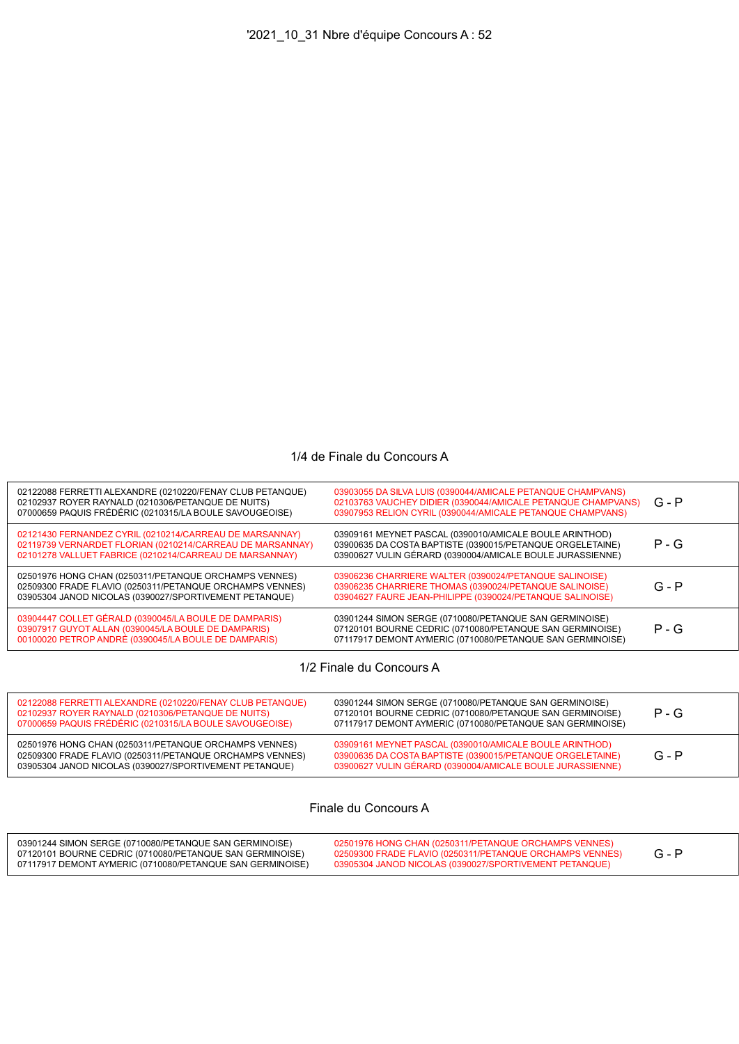## 1/4 de Finale du Concours A

| 02122088 FERRETTI ALEXANDRE (0210220/FENAY CLUB PETANQUE)<br>02102937 ROYER RAYNALD (0210306/PETANQUE DE NUITS)<br>07000659 PAQUIS FRÉDÉRIC (0210315/LA BOULE SAVOUGEOISE)      | 03903055 DA SILVA LUIS (0390044/AMICALE PETANQUE CHAMPVANS)<br>02103763 VAUCHEY DIDIER (0390044/AMICALE PETANQUE CHAMPVANS)<br>03907953 RELION CYRIL (0390044/AMICALE PETANQUE CHAMPVANS) | $G - P$ |
|---------------------------------------------------------------------------------------------------------------------------------------------------------------------------------|-------------------------------------------------------------------------------------------------------------------------------------------------------------------------------------------|---------|
| 02121430 FERNANDEZ CYRIL (0210214/CARREAU DE MARSANNAY)<br>02119739 VERNARDET FLORIAN (0210214/CARREAU DE MARSANNAY)<br>02101278 VALLUET FABRICE (0210214/CARREAU DE MARSANNAY) | 03909161 MEYNET PASCAL (0390010/AMICALE BOULE ARINTHOD)<br>03900635 DA COSTA BAPTISTE (0390015/PETANQUE ORGELETAINE)<br>03900627 VULIN GÉRARD (0390004/AMICALE BOULE JURASSIENNE)         | $P - G$ |
| 02501976 HONG CHAN (0250311/PETANQUE ORCHAMPS VENNES)<br>02509300 FRADE FLAVIO (0250311/PETANQUE ORCHAMPS VENNES)<br>03905304 JANOD NICOLAS (0390027/SPORTIVEMENT PETANQUE)     | 03906236 CHARRIERE WALTER (0390024/PETANQUE SALINOISE)<br>03906235 CHARRIERE THOMAS (0390024/PETANQUE SALINOISE)<br>03904627 FAURE JEAN-PHILIPPE (0390024/PETANQUE SALINOISE)             | $G - P$ |
| 03904447 COLLET GÉRALD (0390045/LA BOULE DE DAMPARIS)<br>03907917 GUYOT ALLAN (0390045/LA BOULE DE DAMPARIS)<br>00100020 PETROP ANDRÉ (0390045/LA BOULE DE DAMPARIS)            | 03901244 SIMON SERGE (0710080/PETANQUE SAN GERMINOISE)<br>07120101 BOURNE CEDRIC (0710080/PETANQUE SAN GERMINOISE)<br>07117917 DEMONT AYMERIC (0710080/PETANQUE SAN GERMINOISE)           | $P - G$ |
|                                                                                                                                                                                 |                                                                                                                                                                                           |         |

1/2 Finale du Concours A

| 02122088 FERRETTI ALEXANDRE (0210220/FENAY CLUB PETANQUE)<br>02102937 ROYER RAYNALD (0210306/PETANQUE DE NUITS)<br>07000659 PAQUIS FRÉDÉRIC (0210315/LA BOULE SAVOUGEOISE)  | 03901244 SIMON SERGE (0710080/PETANQUE SAN GERMINOISE)<br>07120101 BOURNE CEDRIC (0710080/PETANQUE SAN GERMINOISE)<br>07117917 DEMONT AYMERIC (0710080/PETANQUE SAN GERMINOISE)   | $P - G$ |
|-----------------------------------------------------------------------------------------------------------------------------------------------------------------------------|-----------------------------------------------------------------------------------------------------------------------------------------------------------------------------------|---------|
| 02501976 HONG CHAN (0250311/PETANQUE ORCHAMPS VENNES)<br>02509300 FRADE FLAVIO (0250311/PETANQUE ORCHAMPS VENNES)<br>03905304 JANOD NICOLAS (0390027/SPORTIVEMENT PETANQUE) | 03909161 MEYNET PASCAL (0390010/AMICALE BOULE ARINTHOD)<br>03900635 DA COSTA BAPTISTE (0390015/PETANQUE ORGELETAINE)<br>03900627 VULIN GÉRARD (0390004/AMICALE BOULE JURASSIENNE) | $G - P$ |

Finale du Concours A

| 03901244 SIMON SERGE (0710080/PETANQUE SAN GERMINOISE)<br>07120101 BOURNE CEDRIC (0710080/PETANQUE SAN GERMINOISE) | 02501976 HONG CHAN (0250311/PETANQUE ORCHAMPS VENNES)<br>02509300 FRADE FLAVIO (0250311/PETANQUE ORCHAMPS VENNES) |  |
|--------------------------------------------------------------------------------------------------------------------|-------------------------------------------------------------------------------------------------------------------|--|
| 07117917 DEMONT AYMERIC (0710080/PETANQUE SAN GERMINOISE)                                                          | 03905304 JANOD NICOLAS (0390027/SPORTIVEMENT PETANQUE)                                                            |  |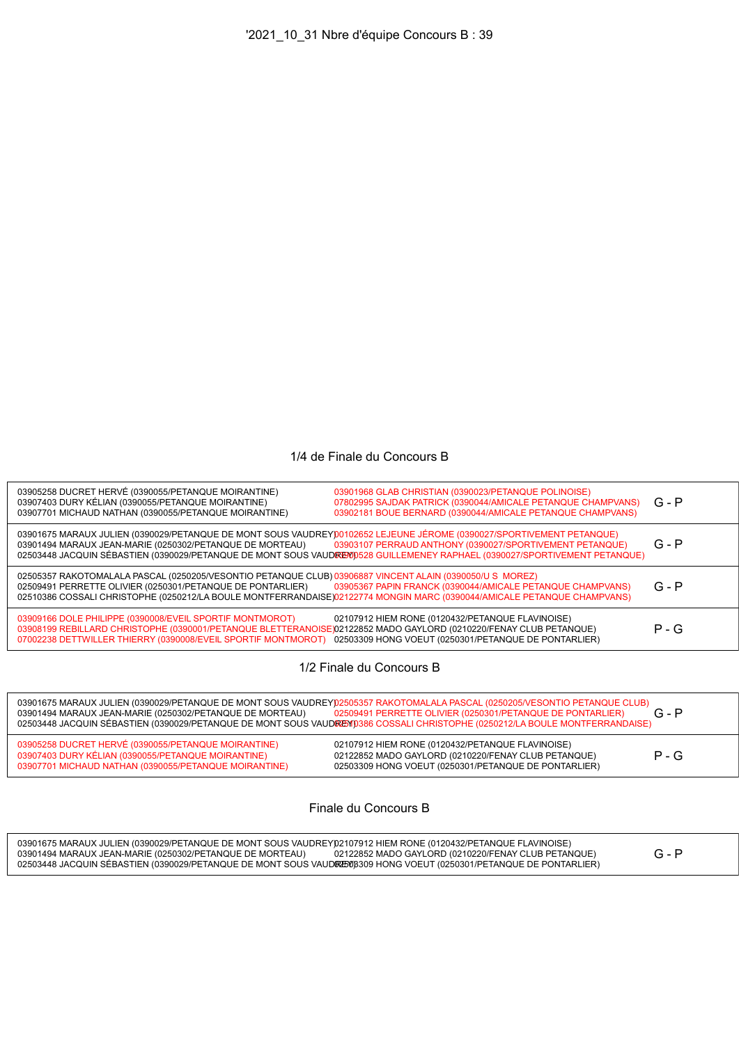## 1/4 de Finale du Concours B

| 03905258 DUCRET HERVÉ (0390055/PETANQUE MOIRANTINE)<br>03907403 DURY KÉLIAN (0390055/PETANQUE MOIRANTINE)<br>03907701 MICHAUD NATHAN (0390055/PETANQUE MOIRANTINE)                                                                                                                                | 03901968 GLAB CHRISTIAN (0390023/PETANQUE POLINOISE)<br>07802995 SAJDAK PATRICK (0390044/AMICALE PETANQUE CHAMPVANS)<br>03902181 BOUE BERNARD (0390044/AMICALE PETANQUE CHAMPVANS)     | G - P   |
|---------------------------------------------------------------------------------------------------------------------------------------------------------------------------------------------------------------------------------------------------------------------------------------------------|----------------------------------------------------------------------------------------------------------------------------------------------------------------------------------------|---------|
| 03901675 MARAUX JULIEN (0390029/PETANQUE DE MONT SOUS VAUDREY)0102652 LEJEUNE JÉROME (0390027/SPORTIVEMENT PETANQUE)<br>03901494 MARAUX JEAN-MARIE (0250302/PETANQUE DE MORTEAU)                                                                                                                  | 03903107 PERRAUD ANTHONY (0390027/SPORTIVEMENT PETANQUE)<br>02503448 JACQUIN SÉBASTIEN (0390029/PETANQUE DE MONT SOUS VAUDREM) 528 GUILLEMENEY RAPHAEL (0390027/SPORTIVEMENT PETANQUE) | $G - P$ |
| 02505357 RAKOTOMALALA PASCAL (0250205/VESONTIO PETANQUE CLUB) 03906887 VINCENT ALAIN (0390050/U S MOREZ)<br>02509491 PERRETTE OLIVIER (0250301/PETANQUE DE PONTARLIER)<br>02510386 COSSALI CHRISTOPHE (0250212/LA BOULE MONTFERRANDAISE)02122774 MONGIN MARC (0390044/AMICALE PETANQUE CHAMPVANS) | 03905367 PAPIN FRANCK (0390044/AMICALE PETANQUE CHAMPVANS)                                                                                                                             | $G - P$ |
| 03909166 DOLE PHILIPPE (0390008/EVEIL SPORTIF MONTMOROT)<br>03908199 REBILLARD CHRISTOPHE (0390001/PETANQUE BLETTERANOISE)02122852 MADO GAYLORD (0210220/FENAY CLUB PETANQUE)<br>07002238 DETTWILLER THIERRY (0390008/EVEIL SPORTIF MONTMOROT)                                                    | 02107912 HIEM RONE (0120432/PETANQUE FLAVINOISE)<br>02503309 HONG VOEUT (0250301/PETANQUE DE PONTARLIER)                                                                               | $P - G$ |
|                                                                                                                                                                                                                                                                                                   |                                                                                                                                                                                        |         |

1/2 Finale du Concours B

| 03901494 MARAUX JEAN-MARIE (0250302/PETANQUE DE MORTEAU)                                                                                                           | 03901675 MARAUX JULIEN (0390029/PETANQUE DE MONT SOUS VAUDREY)02505357 RAKOTOMALALA PASCAL (0250205/VESONTIO PETANQUE CLUB)<br>02509491 PERRETTE OLIVIER (0250301/PETANQUE DE PONTARLIER)<br>02503448 JACQUIN SÉBASTIEN (0390029/PETANQUE DE MONT SOUS VAUDREY) 0386 COSSALI CHRISTOPHE (0250212/LA BOULE MONTFERRANDAISE) | $G - P$ |
|--------------------------------------------------------------------------------------------------------------------------------------------------------------------|----------------------------------------------------------------------------------------------------------------------------------------------------------------------------------------------------------------------------------------------------------------------------------------------------------------------------|---------|
| 03905258 DUCRET HERVÉ (0390055/PETANQUE MOIRANTINE)<br>03907403 DURY KÉLIAN (0390055/PETANQUE MOIRANTINE)<br>03907701 MICHAUD NATHAN (0390055/PETANQUE MOIRANTINE) | 02107912 HIEM RONE (0120432/PETANQUE FLAVINOISE)<br>02122852 MADO GAYLORD (0210220/FENAY CLUB PETANQUE)<br>02503309 HONG VOEUT (0250301/PETANQUE DE PONTARLIER)                                                                                                                                                            | $P - G$ |

Finale du Concours B

| 03901675 MARAUX JULIEN (0390029/PETANOUE DE MONT SOUS VAUDREY02107912 HIEM RONE (0120432/PETANOUE FLAVINOISE)      |  |
|--------------------------------------------------------------------------------------------------------------------|--|
| 02122852 MADO GAYLORD (0210220/FENAY CLUB PETANQUE)<br>03901494 MARAUX JEAN-MARIE (0250302/PETANQUE DE MORTEAU)    |  |
| 02503448 JACQUIN SEBASTIEN (0390029/PETANQUE DE MONT SOUS VAUDRES08309 HONG VOEUT (0250301/PETANQUE DE PONTARLIER) |  |